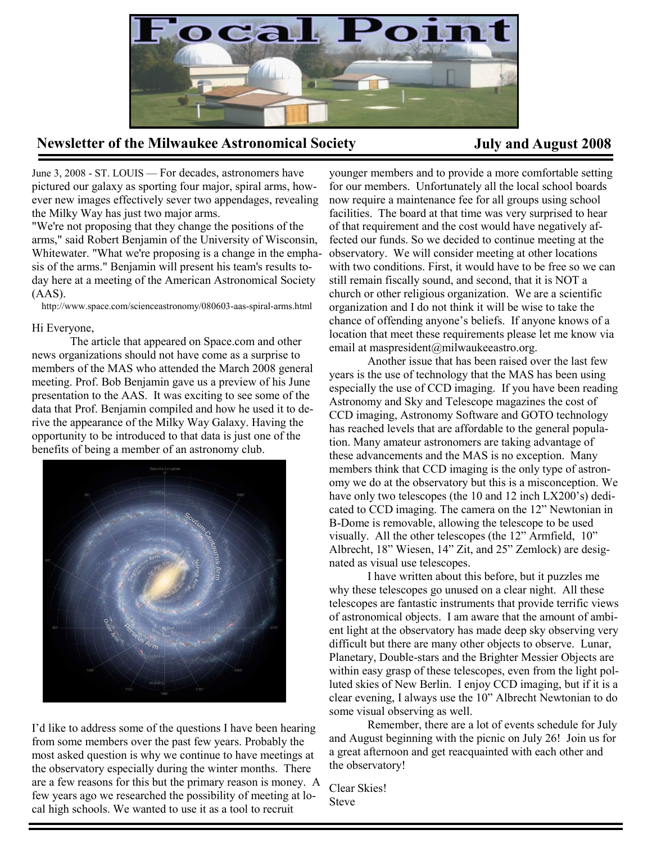

## **Newsletter of the Milwaukee Astronomical Society July and August 2008**

June 3, 2008 - ST. LOUIS — For decades, astronomers have pictured our galaxy as sporting four major, spiral arms, however new images effectively sever two appendages, revealing the Milky Way has just two major arms.

"We're not proposing that they change the positions of the arms," said Robert Benjamin of the University of Wisconsin, Whitewater. "What we're proposing is a change in the emphasis of the arms." Benjamin will present his team's results today here at a meeting of the American Astronomical Society  $(AAS)$ .

http://www.space.com/scienceastronomy/080603-aas-spiral-arms.html

#### Hi Everyone,

The article that appeared on Space.com and other news organizations should not have come as a surprise to members of the MAS who attended the March 2008 general meeting. Prof. Bob Benjamin gave us a preview of his June presentation to the AAS. It was exciting to see some of the data that Prof. Benjamin compiled and how he used it to derive the appearance of the Milky Way Galaxy. Having the opportunity to be introduced to that data is just one of the benefits of being a member of an astronomy club.



I'd like to address some of the questions I have been hearing from some members over the past few years. Probably the most asked question is why we continue to have meetings at the observatory especially during the winter months. There are a few reasons for this but the primary reason is money. A few years ago we researched the possibility of meeting at local high schools. We wanted to use it as a tool to recruit

younger members and to provide a more comfortable setting for our members. Unfortunately all the local school boards now require a maintenance fee for all groups using school facilities. The board at that time was very surprised to hear of that requirement and the cost would have negatively affected our funds. So we decided to continue meeting at the observatory. We will consider meeting at other locations with two conditions. First, it would have to be free so we can still remain fiscally sound, and second, that it is NOT a church or other religious organization. We are a scientific organization and I do not think it will be wise to take the chance of offending anyone's beliefs. If anyone knows of a location that meet these requirements please let me know via email at maspresident@milwaukeeastro.org.

Another issue that has been raised over the last few years is the use of technology that the MAS has been using especially the use of CCD imaging. If you have been reading Astronomy and Sky and Telescope magazines the cost of CCD imaging, Astronomy Software and GOTO technology has reached levels that are affordable to the general population. Many amateur astronomers are taking advantage of these advancements and the MAS is no exception. Many members think that CCD imaging is the only type of astronomy we do at the observatory but this is a misconception. We have only two telescopes (the 10 and 12 inch LX200's) dedicated to CCD imaging. The camera on the 12" Newtonian in B-Dome is removable, allowing the telescope to be used visually. All the other telescopes (the 12" Armfield, 10" Albrecht, 18" Wiesen, 14" Zit, and 25" Zemlock) are designated as visual use telescopes.

I have written about this before, but it puzzles me why these telescopes go unused on a clear night. All these telescopes are fantastic instruments that provide terrific views of astronomical objects. I am aware that the amount of ambient light at the observatory has made deep sky observing very difficult but there are many other objects to observe. Lunar, Planetary, Double-stars and the Brighter Messier Objects are within easy grasp of these telescopes, even from the light polluted skies of New Berlin. I enjoy CCD imaging, but if it is a clear evening, I always use the 10" Albrecht Newtonian to do some visual observing as well.

Remember, there are a lot of events schedule for July and August beginning with the picnic on July 26! Join us for a great afternoon and get reacquainted with each other and the observatory!

Clear Skies! Steve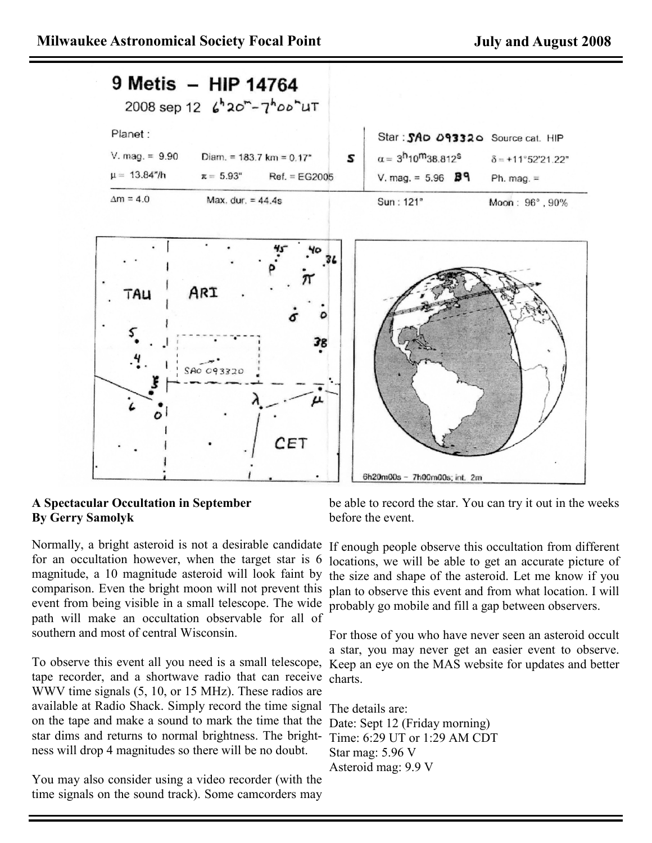

## **A Spectacular Occultation in September By Gerry Samolyk**

Normally, a bright asteroid is not a desirable candidate If enough people observe this occultation from different for an occultation however, when the target star is 6 magnitude, a 10 magnitude asteroid will look faint by event from being visible in a small telescope. The wide probably go mobile and fill a gap between observers. path will make an occultation observable for all of southern and most of central Wisconsin.

To observe this event all you need is a small telescope, Keep an eye on the MAS website for updates and better tape recorder, and a shortwave radio that can receive charts. WWV time signals (5, 10, or 15 MHz). These radios are available at Radio Shack. Simply record the time signal The details are: on the tape and make a sound to mark the time that the star dims and returns to normal brightness. The brightness will drop 4 magnitudes so there will be no doubt.

You may also consider using a video recorder (with the time signals on the sound track). Some camcorders may

be able to record the star. You can try it out in the weeks before the event.

comparison. Even the bright moon will not prevent this plan to observe this event and from what location. I will locations, we will be able to get an accurate picture of the size and shape of the asteroid. Let me know if you

> For those of you who have never seen an asteroid occult a star, you may never get an easier event to observe.

Date: Sept 12 (Friday morning) Time: 6:29 UT or 1:29 AM CDT Star mag: 5.96 V Asteroid mag: 9.9 V